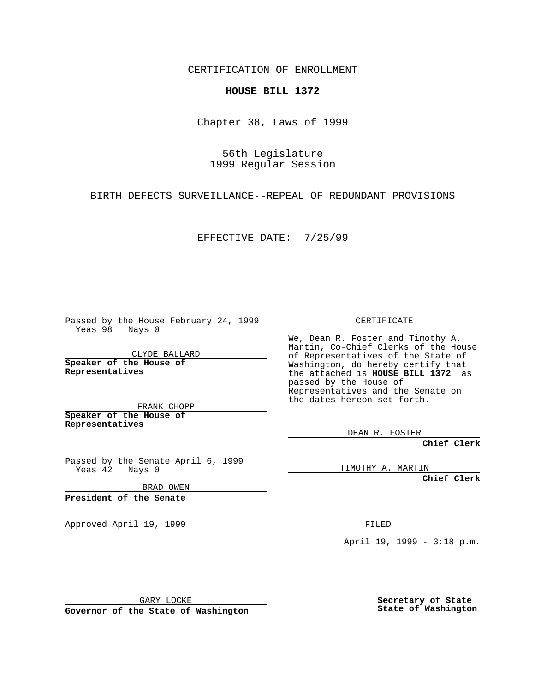CERTIFICATION OF ENROLLMENT

## **HOUSE BILL 1372**

Chapter 38, Laws of 1999

56th Legislature 1999 Regular Session

BIRTH DEFECTS SURVEILLANCE--REPEAL OF REDUNDANT PROVISIONS

EFFECTIVE DATE: 7/25/99

Passed by the House February 24, 1999 Yeas 98 Nays 0

CLYDE BALLARD **Speaker of the House of Representatives**

FRANK CHOPP **Speaker of the House of Representatives**

Passed by the Senate April 6, 1999 Yeas 42 Nays 0

BRAD OWEN

**President of the Senate**

Approved April 19, 1999 **FILED** 

CERTIFICATE

We, Dean R. Foster and Timothy A. Martin, Co-Chief Clerks of the House of Representatives of the State of Washington, do hereby certify that the attached is **HOUSE BILL 1372** as passed by the House of Representatives and the Senate on the dates hereon set forth.

DEAN R. FOSTER

**Chief Clerk**

TIMOTHY A. MARTIN

**Chief Clerk**

April 19, 1999 - 3:18 p.m.

GARY LOCKE

**Governor of the State of Washington**

**Secretary of State State of Washington**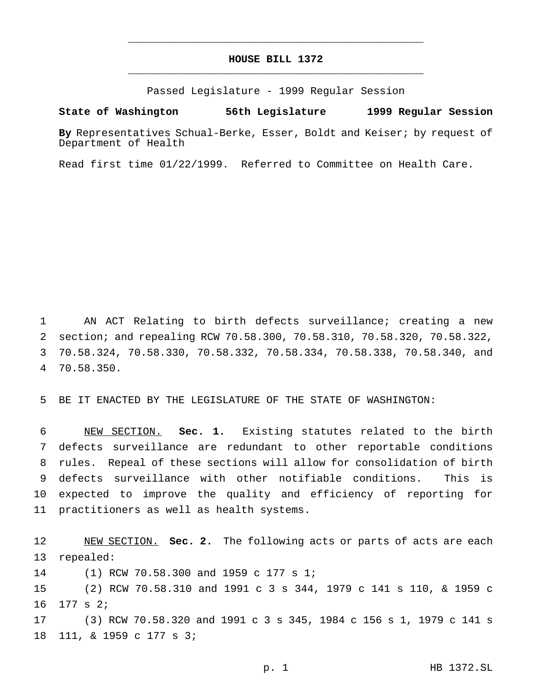## **HOUSE BILL 1372** \_\_\_\_\_\_\_\_\_\_\_\_\_\_\_\_\_\_\_\_\_\_\_\_\_\_\_\_\_\_\_\_\_\_\_\_\_\_\_\_\_\_\_\_\_\_\_

\_\_\_\_\_\_\_\_\_\_\_\_\_\_\_\_\_\_\_\_\_\_\_\_\_\_\_\_\_\_\_\_\_\_\_\_\_\_\_\_\_\_\_\_\_\_\_

Passed Legislature - 1999 Regular Session

## **State of Washington 56th Legislature 1999 Regular Session**

**By** Representatives Schual-Berke, Esser, Boldt and Keiser; by request of Department of Health

Read first time 01/22/1999. Referred to Committee on Health Care.

 AN ACT Relating to birth defects surveillance; creating a new section; and repealing RCW 70.58.300, 70.58.310, 70.58.320, 70.58.322, 70.58.324, 70.58.330, 70.58.332, 70.58.334, 70.58.338, 70.58.340, and 70.58.350.

BE IT ENACTED BY THE LEGISLATURE OF THE STATE OF WASHINGTON:

 NEW SECTION. **Sec. 1.** Existing statutes related to the birth defects surveillance are redundant to other reportable conditions rules. Repeal of these sections will allow for consolidation of birth defects surveillance with other notifiable conditions. This is expected to improve the quality and efficiency of reporting for practitioners as well as health systems.

 NEW SECTION. **Sec. 2.** The following acts or parts of acts are each repealed: (1) RCW 70.58.300 and 1959 c 177 s 1; (2) RCW 70.58.310 and 1991 c 3 s 344, 1979 c 141 s 110, & 1959 c 177 s 2; (3) RCW 70.58.320 and 1991 c 3 s 345, 1984 c 156 s 1, 1979 c 141 s 111, & 1959 c 177 s 3;